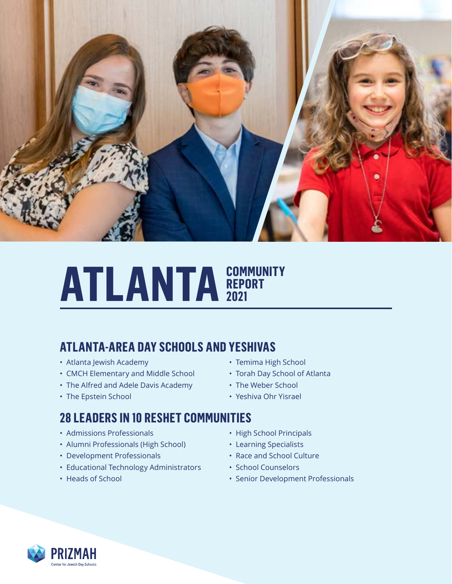

## **ATLANTA REPORT REPORT 2021**

## **ATLANTA-AREA DAY SCHOOLS AND YESHIVAS**

- Atlanta Jewish Academy
- CMCH Elementary and Middle School
- The Alfred and Adele Davis Academy
- The Epstein School

#### • Temima High School

- Torah Day School of Atlanta
- The Weber School
- Yeshiva Ohr Yisrael

## **28 LEADERS IN 10 RESHET COMMUNITIES**

- Admissions Professionals
- Alumni Professionals (High School)
- Development Professionals
- Educational Technology Administrators
- Heads of School
- High School Principals
- Learning Specialists
- Race and School Culture
- School Counselors
- Senior Development Professionals